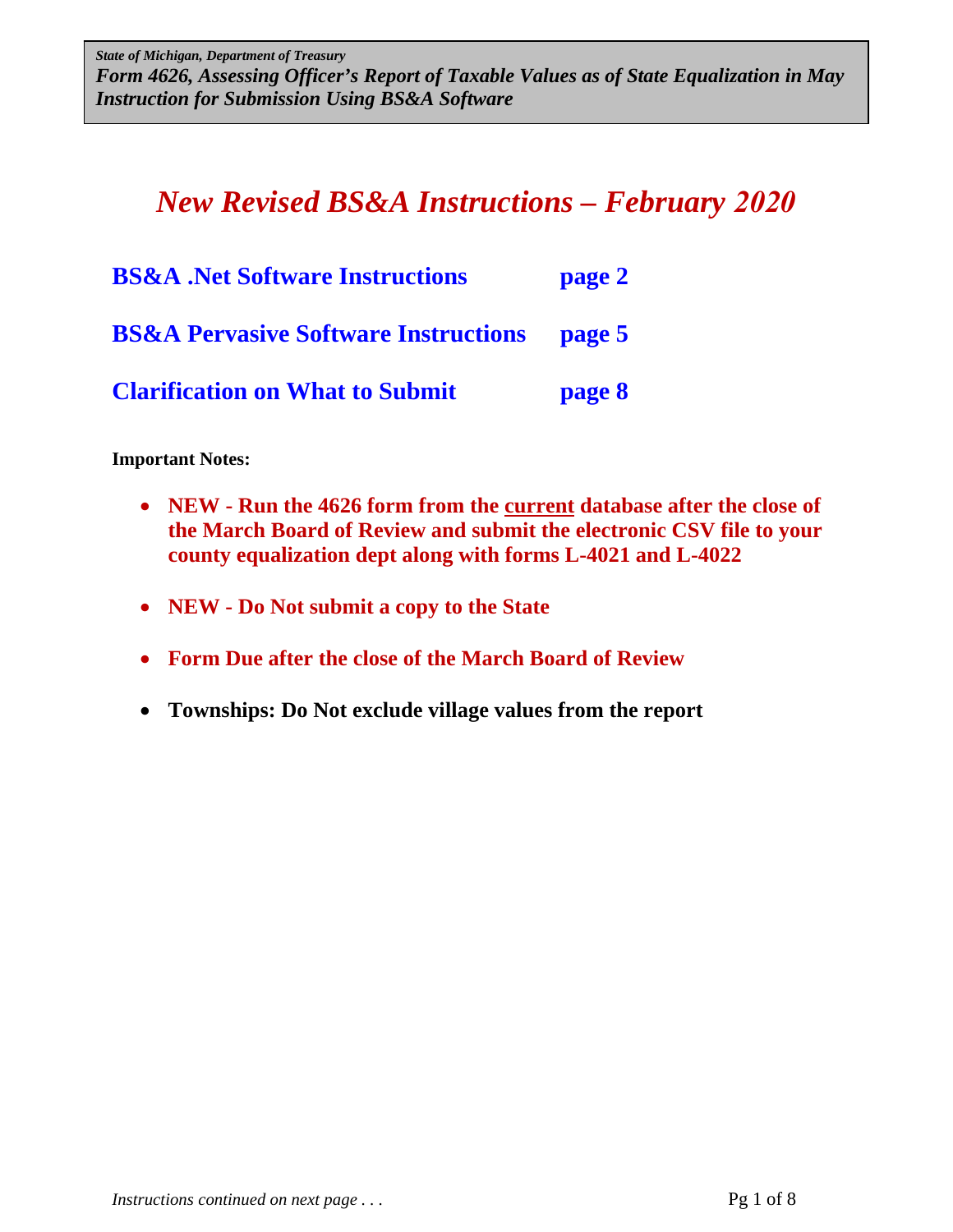*State of Michigan, Department of Treasury Form 4626, Assessing Officer's Report of Taxable Values as of State Equalization in May Form 4626, Assessing Officer's Report of Taxable Values as of State Equalization in May Instruction for Submission Using BS&A Software Instruction for Submission Using BS&A Software State of Michigan, Department of Treasury* 

# *New Revised BS&A Instructions – February 2020*

| <b>BS&amp;A</b> .Net Software Instructions             | page 2 |
|--------------------------------------------------------|--------|
| <b>BS&amp;A Pervasive Software Instructions page 5</b> |        |
| <b>Clarification on What to Submit</b>                 | page 8 |

**Important Notes:** 

- **NEW Run the 4626 form from the current database after the close of the March Board of Review and submit the electronic CSV file to your county equalization dept along with forms L-4021 and L-4022**
- **NEW Do Not submit a copy to the State**
- **Form Due after the close of the March Board of Review**
- **Townships: Do Not exclude village values from the report**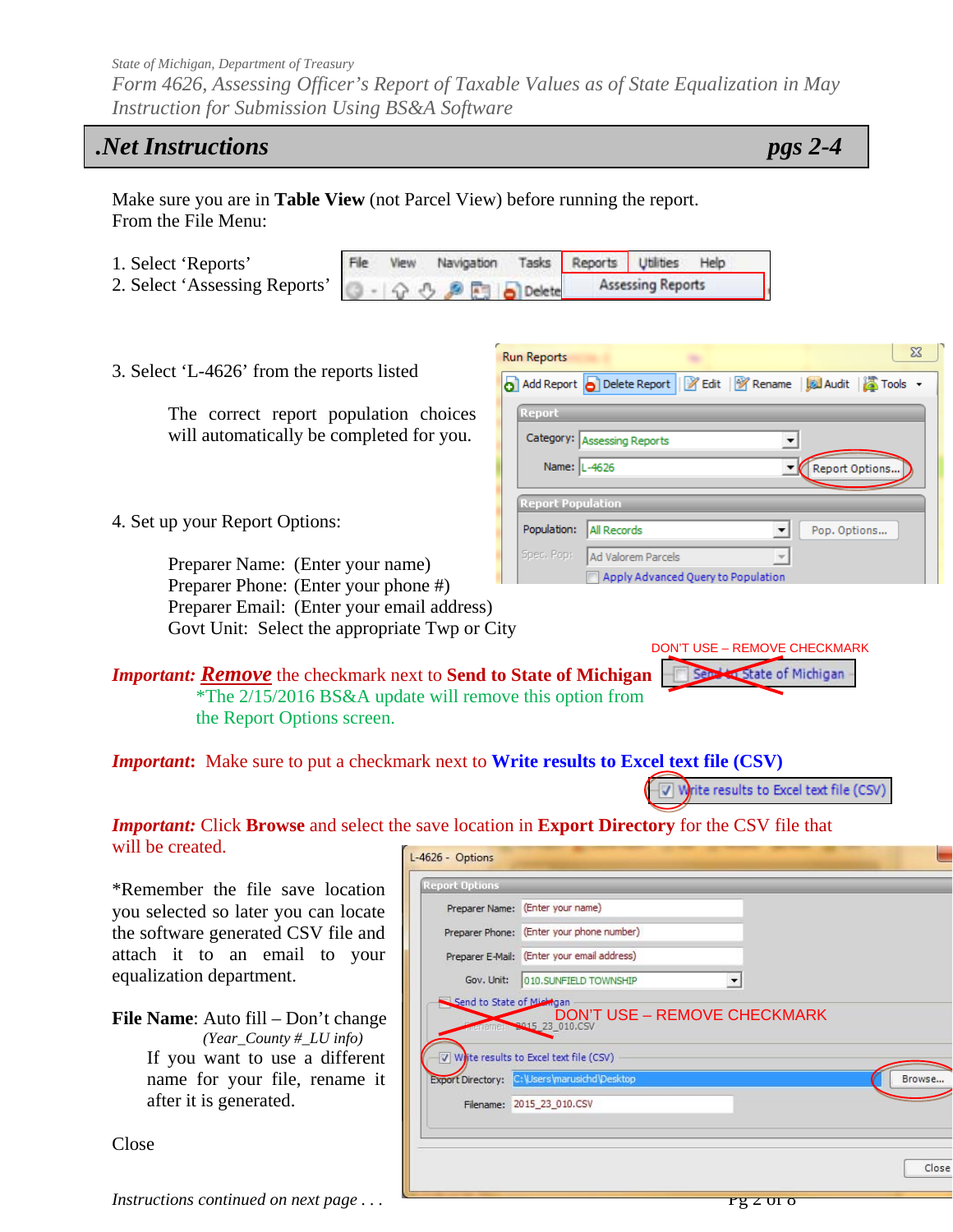*Form 4626, Assessing Officer's Report of Taxable Values as of State Equalization in May Instruction for Submission Using BS&A Software* 

## *.Net Instructions pgs 2-4*

 $\Sigma\!3$ 

Make sure you are in **Table View** (not Parcel View) before running the report. From the File Menu:

- 1. Select 'Reports' File
- 2. Select 'Assessing Reports'
- Reports Utilities View Navigation Tasks Help **Assessing Reports** Delete

Category: Assessing Reports

Spec, Pop: Ad Valorem Parcels

Name: L-4626

**Report Population** Population: All Records

**Run Reports** 

3. Select 'L-4626' from the reports listed

The correct report population choices will automatically be completed for you.

4. Set up your Report Options:

Preparer Name: (Enter your name) Preparer Phone: (Enter your phone #) Preparer Email: (Enter your email address) Govt Unit: Select the appropriate Twp or City

*Important: Remove* the checkmark next to **Send to State of Michigan** \*The 2/15/2016 BS&A update will remove this option from the Report Options screen.

DON'T USE – REMOVE CHECKMARK Service of Michigan

 $\vert$ 

 $\blacktriangledown$ 

 $\overline{\phantom{a}}$ 

Report Options..

Pop. Options...

b Add Report b Delete Report | 2 Edit | 12 Rename | B Audit | 2 Tools

Apply Advanced Query to Population

*Important***:** Make sure to put a checkmark next to **Write results to Excel text file (CSV)**

V Write results to Excel text file (CSV)

#### *Important:* Click **Browse** and select the save location in **Export Directory** for the CSV file that will be created. L-4626 - Options

\*Remember the file save location you selected so later you can locate the software generated CSV file and attach it to an email to your equalization department.

**File Name**: Auto fill – Don't change *(Year\_County #\_LU info)* If you want to use a different name for your file, rename it after it is generated.

Preparer Name: (Enter your name) Preparer Phone: (Enter your phone number) Preparer E-Mail: (Enter your email address) Gov. Unit: 010.SUNFIELD TOWNSHIP  $\vert$ Send to State of Mi ngan **DON'T USE – REMOVE CHECKMARK**  $\overline{v}$  Wite results to Excel text file (CSV) Export Directory: C:\Users\marusichd\Desktop Browse. Filename: 2015\_23\_010.CSV Close

Close

*Instructions continued on next page ...*  $\sqrt{pq}$  is  $\sqrt{pq}$  is  $\sqrt{pq}$  or  $\sqrt{pq}$  or  $\sqrt{pq}$  or  $\sqrt{pq}$  or  $\sqrt{pq}$  or  $\sqrt{pq}$  or  $\sqrt{pq}$  or  $\sqrt{pq}$  or  $\sqrt{pq}$  or  $\sqrt{pq}$  or  $\sqrt{pq}$  or  $\sqrt{pq}$  or  $\sqrt{pq}$  or  $\sqrt{pq}$  or  $\sqrt$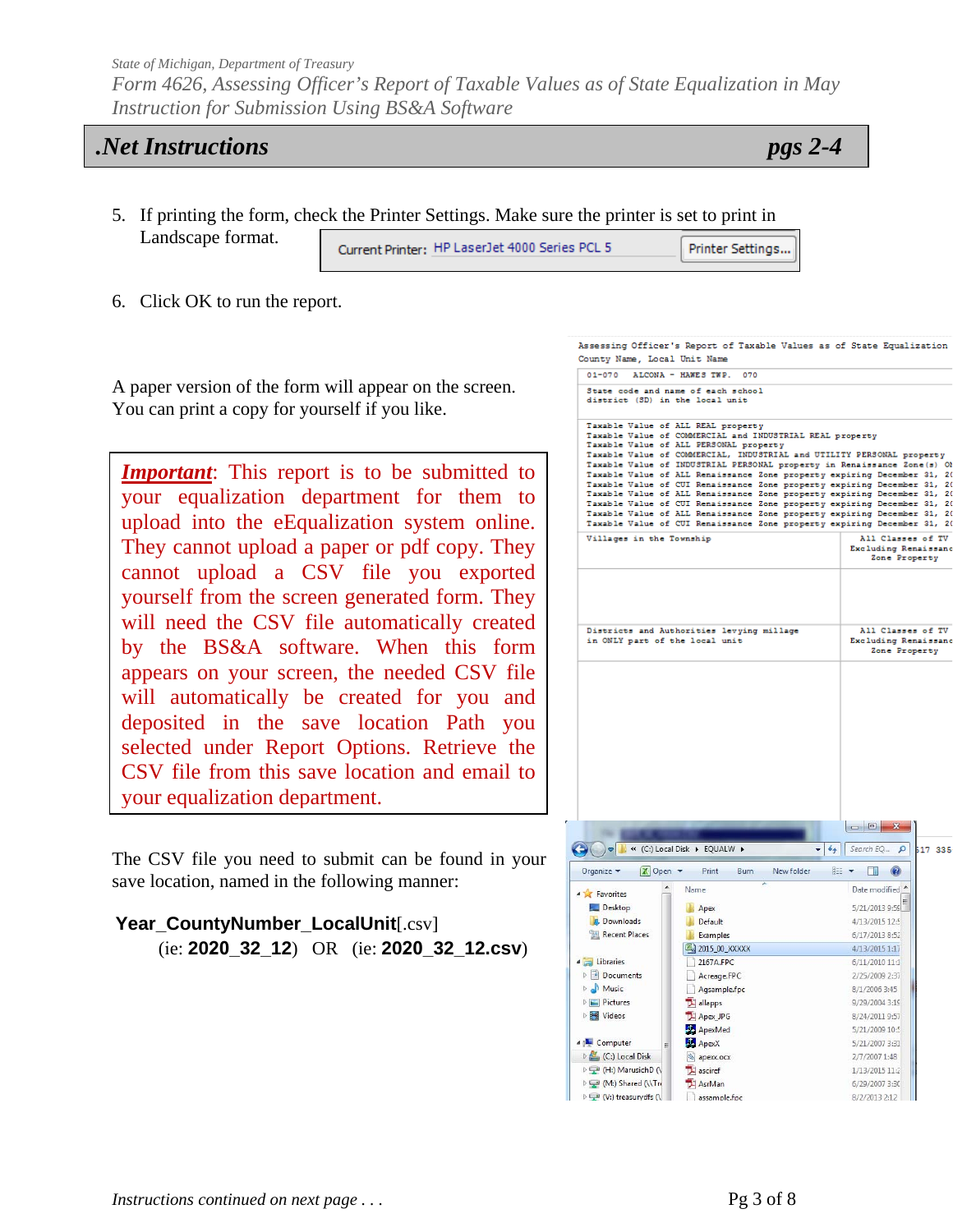*Form 4626, Assessing Officer's Report of Taxable Values as of State Equalization in May Instruction for Submission Using BS&A Software* 

### *.Net Instructions pgs 2-4*

- 5. If printing the form, check the Printer Settings. Make sure the printer is set to print in Landscape format. Current Printer: HP LaserJet 4000 Series PCL 5 Printer Settings...
- 6. Click OK to run the report.

A paper version of the form will appear on the screen. You can print a copy for yourself if you like.

*Important*: This report is to be submitted to your equalization department for them to upload into the eEqualization system online. They cannot upload a paper or pdf copy. They cannot upload a CSV file you exported yourself from the screen generated form. They will need the CSV file automatically created by the BS&A software. When this form appears on your screen, the needed CSV file will automatically be created for you and deposited in the save location Path you selected under Report Options. Retrieve the CSV file from this save location and email to your equalization department.

The CSV file you need to submit can be found in your save location, named in the following manner:

| Year_CountyNumber_LocalUnit[.csv]                  |  |  |
|----------------------------------------------------|--|--|
| (ie: $2020\_32\_12$ ) OR (ie: $2020\_32\_12.csv$ ) |  |  |

| $01 - 070$                                        | ALCONA - HAWES TWP.<br>070                                                                         |                                                                                                                                                   |  |
|---------------------------------------------------|----------------------------------------------------------------------------------------------------|---------------------------------------------------------------------------------------------------------------------------------------------------|--|
|                                                   |                                                                                                    |                                                                                                                                                   |  |
| district (SD) in the local unit                   | State code and name of each school                                                                 |                                                                                                                                                   |  |
| Taxable Value of ALL REAL property                |                                                                                                    |                                                                                                                                                   |  |
|                                                   | Taxable Value of COMMERCIAL and INDUSTRIAL REAL property<br>Taxable Value of ALL PERSONAL property |                                                                                                                                                   |  |
|                                                   |                                                                                                    | Taxable Value of COMMERCIAL, INDUSTRIAL and UTILITY PERSONAL property<br>Taxable Value of INDUSTRIAL PERSONAL property in Renaissance Zone(s) Of  |  |
|                                                   |                                                                                                    | Taxable Value of ALL Renaissance Zone property expiring December 31, 20                                                                           |  |
|                                                   |                                                                                                    | Taxable Value of CUI Renaissance Zone property expiring December 31, 20<br>Taxable Value of ALL Renaissance Zone property expiring December 31, 2 |  |
|                                                   |                                                                                                    | Taxable Value of CUI Renaissance Zone property expiring December 31, 20                                                                           |  |
|                                                   |                                                                                                    | Taxable Value of ALL Renaissance Zone property expiring December 31, 2                                                                            |  |
| Villages in the Township                          |                                                                                                    | Taxable Value of CUI Renaissance Zone property expiring December 31, 20<br>All Classes of TV                                                      |  |
|                                                   |                                                                                                    | Excluding Renaissanc<br>Zone Property                                                                                                             |  |
|                                                   |                                                                                                    |                                                                                                                                                   |  |
|                                                   |                                                                                                    |                                                                                                                                                   |  |
|                                                   | Districts and Authorities levying millage                                                          | All Classes of TV                                                                                                                                 |  |
| in ONLY part of the local unit                    |                                                                                                    | Excluding Renaissanc<br>Zone Property                                                                                                             |  |
|                                                   |                                                                                                    |                                                                                                                                                   |  |
|                                                   |                                                                                                    |                                                                                                                                                   |  |
|                                                   |                                                                                                    |                                                                                                                                                   |  |
|                                                   |                                                                                                    |                                                                                                                                                   |  |
|                                                   |                                                                                                    |                                                                                                                                                   |  |
|                                                   |                                                                                                    |                                                                                                                                                   |  |
|                                                   |                                                                                                    |                                                                                                                                                   |  |
|                                                   |                                                                                                    |                                                                                                                                                   |  |
|                                                   |                                                                                                    |                                                                                                                                                   |  |
|                                                   |                                                                                                    |                                                                                                                                                   |  |
|                                                   |                                                                                                    |                                                                                                                                                   |  |
|                                                   |                                                                                                    |                                                                                                                                                   |  |
|                                                   |                                                                                                    |                                                                                                                                                   |  |
|                                                   |                                                                                                    |                                                                                                                                                   |  |
|                                                   |                                                                                                    |                                                                                                                                                   |  |
|                                                   | K « (C:) Local Disk ▶ EQUALW ▶                                                                     | $+$<br>Search EQ<br>$\mathbf{p}$<br>517 335                                                                                                       |  |
| X Open ▼<br>Organize -                            | Print<br>Burn<br>New folder                                                                        | <b>註 ▼</b><br><b>STEP</b><br>$\circled{c}$                                                                                                        |  |
| <b>4 Favorites</b>                                | Name                                                                                               | Date modified ^                                                                                                                                   |  |
| Desktop                                           | <b>Apex</b>                                                                                        | 5/21/2013 9:59                                                                                                                                    |  |
| Downloads                                         | Default                                                                                            | 4/13/2015 12:5                                                                                                                                    |  |
| Recent Places                                     | Examples                                                                                           | 6/17/2013 8:52                                                                                                                                    |  |
|                                                   | 2015_00_XXXXX                                                                                      | 4/13/2015 1:17                                                                                                                                    |  |
| <b>A</b> Libraries                                | 2167A.FPC                                                                                          | 6/11/2010 11:1                                                                                                                                    |  |
| Documents                                         | Acreage.FPC                                                                                        | 2/25/2009 2:37                                                                                                                                    |  |
| $\triangleright$ Music                            | Agsample.fpc                                                                                       | 8/1/2006 3:45                                                                                                                                     |  |
| $\triangleright$ $\blacksquare$ Pictures          | allapps                                                                                            | 9/29/2004 3:19                                                                                                                                    |  |
| <b>Videos</b>                                     | Apex JPG                                                                                           | 8/24/2011 9:57                                                                                                                                    |  |
|                                                   | ApexMed                                                                                            | 5/21/2009 10:5                                                                                                                                    |  |
| 4   Computer<br>Ė                                 | ApexX                                                                                              | 5/21/2007 3:31                                                                                                                                    |  |
| <b>DE (C:)</b> Local Disk                         | apexx.ocx                                                                                          | 2/7/2007 1:48                                                                                                                                     |  |
| D (H:) MarusichD (\                               | asciref                                                                                            | 1/13/2015 11:2                                                                                                                                    |  |
| M:) Shared (\\Tri<br>D < <a>(V:) treasurydfs </a> | AsrMan<br>assample.fpc                                                                             | 6/29/2007 3:30<br>8/2/2013 2:12                                                                                                                   |  |

Assessing Officer's Report of Taxable Values as of State Equalization

County Name, Local Unit Name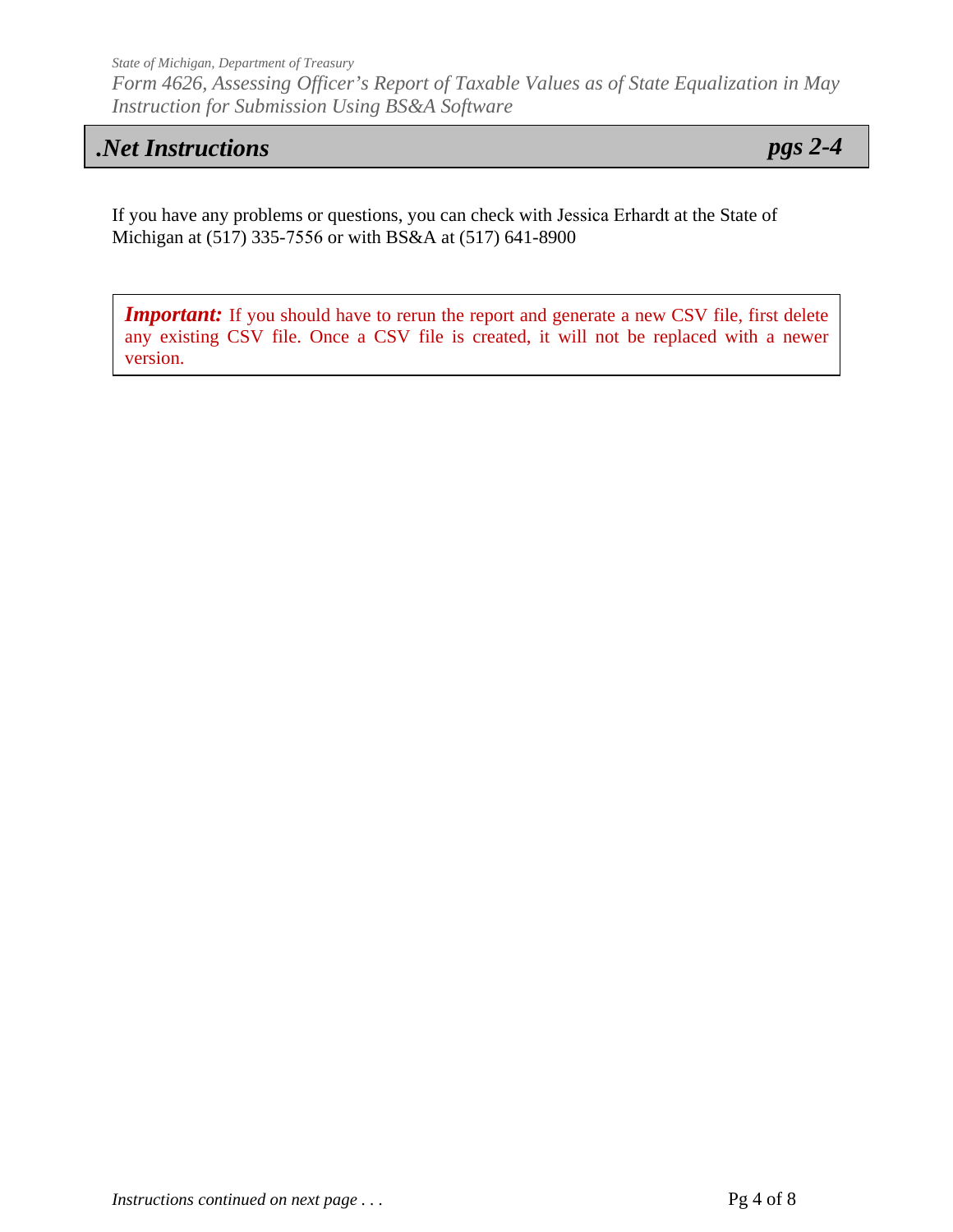*State of Michigan, Department of Treasury Form 4626, Assessing Officer's Report of Taxable Values as of State Equalization in May Instruction for Submission Using BS&A Software*

## *.Net Instructions pgs 2-4*

If you have any problems or questions, you can check with Jessica Erhardt at the State of Michigan at (517) 335-7556 or with BS&A at (517) 641-8900

*Important:* If you should have to rerun the report and generate a new CSV file, first delete any existing CSV file. Once a CSV file is created, it will not be replaced with a newer version.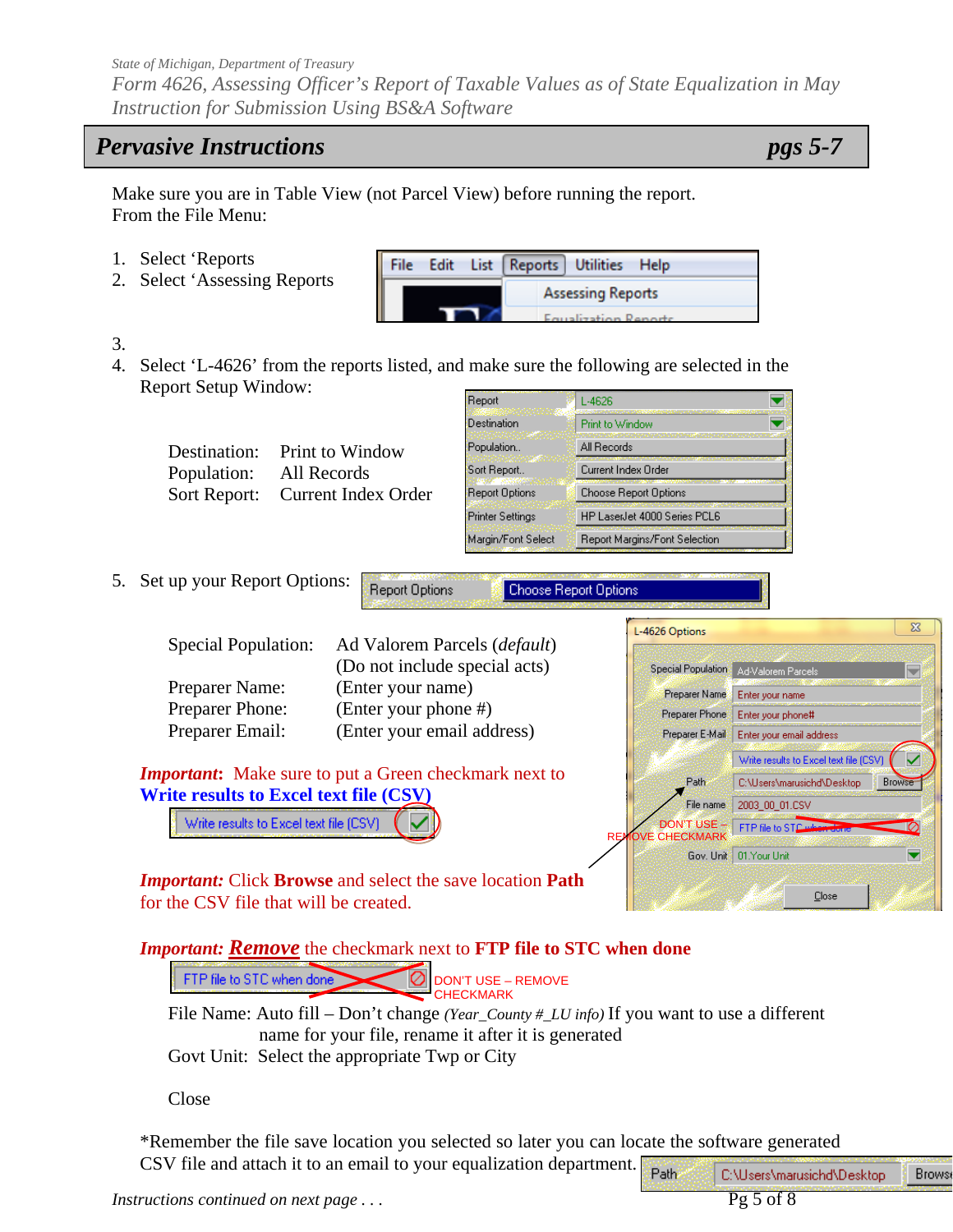*Form 4626, Assessing Officer's Report of Taxable Values as of State Equalization in May Instruction for Submission Using BS&A Software* 

## *Pervasive Instructions pgs 5-7*

Make sure you are in Table View (not Parcel View) before running the report. From the File Menu:

- 1. Select 'Reports
- 2. Select 'Assessing Reports

| <b>File</b> |  | Edit List Reports Utilities Help |  |
|-------------|--|----------------------------------|--|
|             |  | <b>Assessing Reports</b>         |  |
|             |  | Equalization Departs             |  |

- 3.
- 4. Select 'L-4626' from the reports listed, and make sure the following are selected in the Report Setup Window: **Benot** Ë **Turkeye**

|                                   |                               | meham                   | L'4020                        | LY.                     |
|-----------------------------------|-------------------------------|-------------------------|-------------------------------|-------------------------|
|                                   |                               | <b>Destination</b>      | Print to Window               | $\overline{\textbf{v}}$ |
| Destination:                      | Print to Window               | Population              | All Records                   |                         |
| Population:                       | All Records                   | Sort Report             | Current Index Order           |                         |
| Sort Report:                      | <b>Current Index Order</b>    | Report Options          | Choose Report Options         |                         |
|                                   |                               | <b>Printer Settings</b> | HP LaserJet 4000 Series PCL6  |                         |
|                                   |                               | Margin/Font Select      | Report Margins/Font Selection |                         |
| Set up your Report Options:<br>5. | Report Options                |                         | Choose Report Options         |                         |
| <b>Special Population:</b>        | Ad Valorem Parcels (default)  |                         | L-4626 Options                |                         |
|                                   | (Do not include special acts) |                         | Special Population            | Ad-Valorem Parcels      |
| Preparer Name:                    | (Enter your name)             |                         | Preparer Name                 | Enter your name         |
| <b>Preparer Phone:</b>            | (Enter your phone #)          |                         | Preparer Phone                | Enter your phone#       |

*Important***:** Make sure to put a Green checkmark next to **Write results to Excel text file (CSV)** 

Preparer Email: (Enter your email address)

Write results to Excel text file (CSV)



*Important:* Click **Browse** and select the save location **Path** for the CSV file that will be created.

 *Important: Remove* the checkmark next to **FTP file to STC when done**

FTP file to STC when done Ø DON'T USE – REMOVE CHECKMARK

File Name: Auto fill – Don't change *(Year\_County #\_LU info)* If you want to use a different name for your file, rename it after it is generated

Govt Unit: Select the appropriate Twp or City

Close

\*Remember the file save location you selected so later you can locate the software generated CSV file and attach it to an email to your equalization department. Path C:\Users\marusichd\Desktop

**Brows**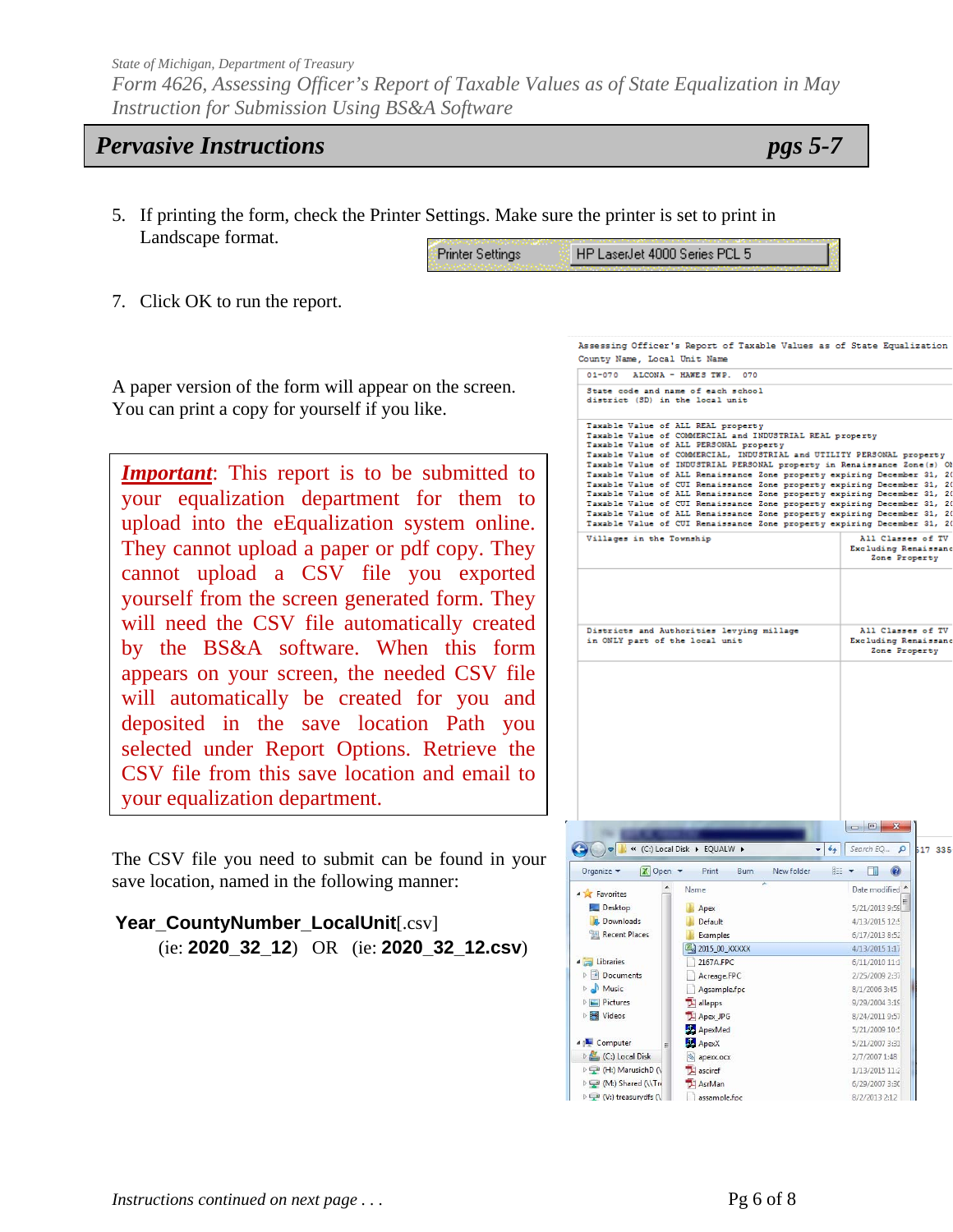*Form 4626, Assessing Officer's Report of Taxable Values as of State Equalization in May Instruction for Submission Using BS&A Software* 

## *Pervasive Instructions pgs 5-7*

5. If printing the form, check the Printer Settings. Make sure the printer is set to print in Landscape format.

| Printer Settings | HP LaserJet 4000 Series PCL 5 |
|------------------|-------------------------------|
|                  |                               |

County Name, Local Unit Name

7. Click OK to run the report.

A paper version of the form will appear on the screen. You can print a copy for yourself if you like.

*Important*: This report is to be submitted to your equalization department for them to upload into the eEqualization system online. They cannot upload a paper or pdf copy. They cannot upload a CSV file you exported yourself from the screen generated form. They will need the CSV file automatically created by the BS&A software. When this form appears on your screen, the needed CSV file will automatically be created for you and deposited in the save location Path you selected under Report Options. Retrieve the CSV file from this save location and email to your equalization department.

The CSV file you need to submit can be found in your save location, named in the following manner:

**Year\_CountyNumber\_LocalUnit**[.csv] (ie: **2020\_32\_12**) OR (ie: **2020\_32\_12.csv**)

| $01 - 070$                                                          | ALCONA - HAWES TWP.<br>070                                                                                                                                                                                                                                                                                                                                                                                                                                                                                                                                                                                                                                                                                                                          |                                                            |
|---------------------------------------------------------------------|-----------------------------------------------------------------------------------------------------------------------------------------------------------------------------------------------------------------------------------------------------------------------------------------------------------------------------------------------------------------------------------------------------------------------------------------------------------------------------------------------------------------------------------------------------------------------------------------------------------------------------------------------------------------------------------------------------------------------------------------------------|------------------------------------------------------------|
| district (SD) in the local unit                                     | State code and name of each school                                                                                                                                                                                                                                                                                                                                                                                                                                                                                                                                                                                                                                                                                                                  |                                                            |
|                                                                     | Taxable Value of ALL REAL property<br>Taxable Value of COMMERCIAL and INDUSTRIAL REAL property<br>Taxable Value of ALL PERSONAL property<br>Taxable Value of COMMERCIAL, INDUSTRIAL and UTILITY PERSONAL property<br>Taxable Value of INDUSTRIAL PERSONAL property in Renaissance Zone(s) Of<br>Taxable Value of ALL Renaissance Zone property expiring December 31, 20<br>Taxable Value of CUI Renaissance Zone property expiring December 31,<br>Taxable Value of ALL Renaissance Zone property expiring December 31, 2<br>Taxable Value of CUI Renaissance Zone property expiring December 31, 2<br>Taxable Value of ALL Renaissance Zone property expiring December 31,<br>Taxable Value of CUI Renaissance Zone property expiring December 31, | -20<br>$\overline{2}$<br>2                                 |
| Villages in the Township                                            |                                                                                                                                                                                                                                                                                                                                                                                                                                                                                                                                                                                                                                                                                                                                                     | All Classes of TV<br>Excluding Renaissanc<br>Zone Property |
| in ONLY part of the local unit                                      | Districts and Authorities levying millage                                                                                                                                                                                                                                                                                                                                                                                                                                                                                                                                                                                                                                                                                                           | All Classes of TV<br>Excluding Renaissanc                  |
|                                                                     |                                                                                                                                                                                                                                                                                                                                                                                                                                                                                                                                                                                                                                                                                                                                                     | Zone Property                                              |
|                                                                     | « (C:) Local Disk ▶ EQUALW ▶                                                                                                                                                                                                                                                                                                                                                                                                                                                                                                                                                                                                                                                                                                                        | $-14$<br>Search EQ p<br>517 335                            |
| $X$ Open $\sim$<br>Organize -<br><b>4</b> Favorites                 | Print<br>New folder<br>Burn<br>Name                                                                                                                                                                                                                                                                                                                                                                                                                                                                                                                                                                                                                                                                                                                 | <b>第 ▼ 日</b><br>$\circledcirc$<br>Date modified            |
| Desktop<br>Downloads<br><b>Recent Places</b>                        | Apex<br>Default<br>Examples                                                                                                                                                                                                                                                                                                                                                                                                                                                                                                                                                                                                                                                                                                                         | 5/21/2013 9:59<br>4/13/2015 12:5<br>6/17/2013 8:52         |
| 4 Libraries<br>Documents                                            | 2015_00_XXXXX<br>2167A.FPC                                                                                                                                                                                                                                                                                                                                                                                                                                                                                                                                                                                                                                                                                                                          | 4/13/2015 1:17<br>6/11/2010 11:1                           |
| $\triangleright$ Music                                              | Acreage.FPC<br>Agsample.fpc                                                                                                                                                                                                                                                                                                                                                                                                                                                                                                                                                                                                                                                                                                                         | 2/25/2009 2:37<br>8/1/2006 3:45                            |
| $\triangleright$ $\blacksquare$ Pictures<br><b>N</b> Videos         | <sup>2</sup> allapps<br>Apex_JPG<br>ApexMed                                                                                                                                                                                                                                                                                                                                                                                                                                                                                                                                                                                                                                                                                                         | 9/29/2004 3:19<br>8/24/2011 9:57<br>5/21/2009 10:5         |
| 4   Computer<br>Ë<br>$\triangleright$ $\frac{1}{2}$ (C:) Local Disk | ApexX<br>apexx.ocx                                                                                                                                                                                                                                                                                                                                                                                                                                                                                                                                                                                                                                                                                                                                  | 5/21/2007 3:31<br>2/7/2007 1:48                            |
| D (H:) MarusichD (\                                                 | asciref                                                                                                                                                                                                                                                                                                                                                                                                                                                                                                                                                                                                                                                                                                                                             | 1/13/2015 11:2                                             |
| D (M:) Shared (\\Tri<br>D D (V:) treasurydfs (                      | AsrMan<br>assample.fpc                                                                                                                                                                                                                                                                                                                                                                                                                                                                                                                                                                                                                                                                                                                              | 6/29/2007 3:30<br>8/2/2013 2:12                            |

Assessing Officer's Report of Taxable Values as of State Equalization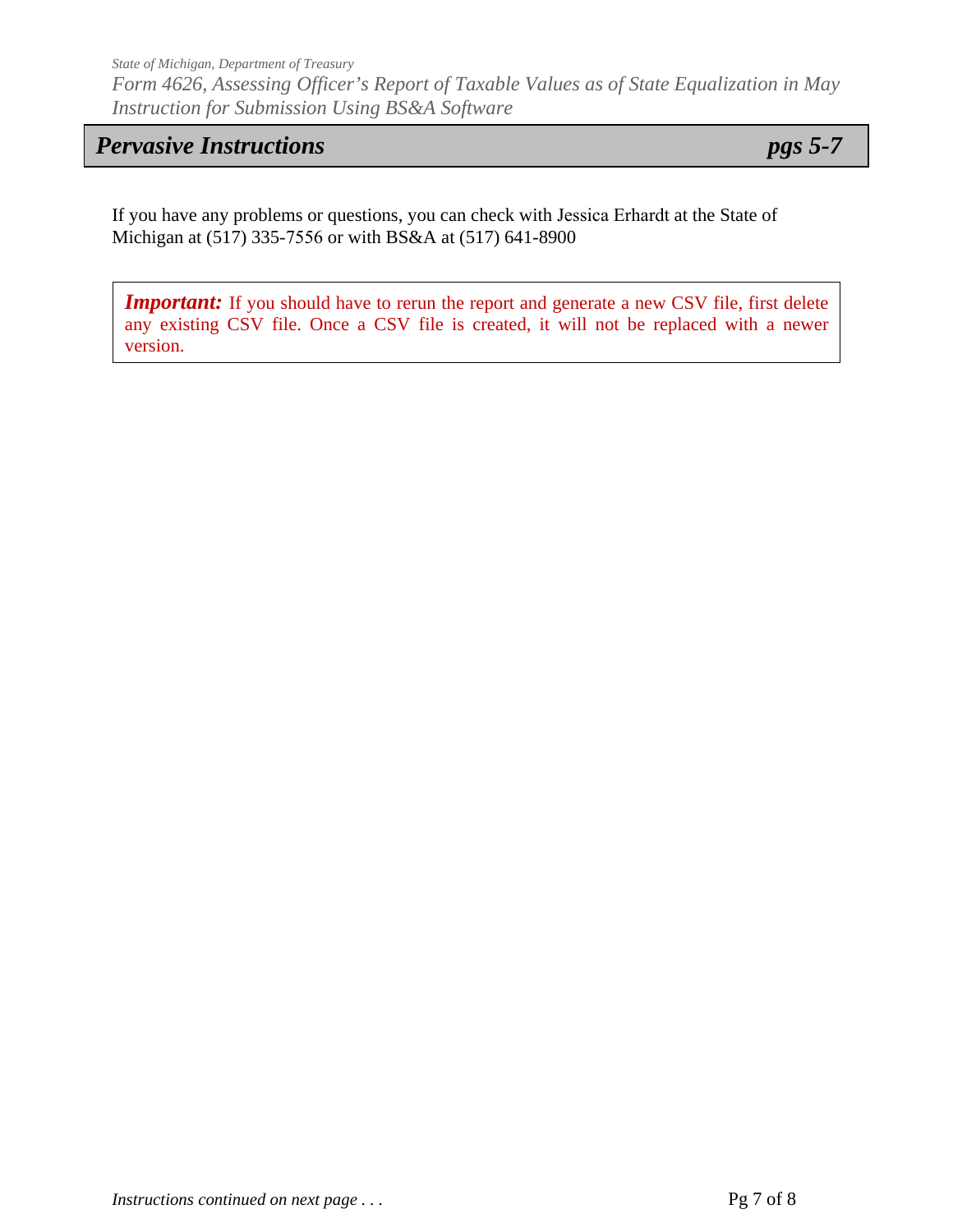*State of Michigan, Department of Treasury Form 4626, Assessing Officer's Report of Taxable Values as of State Equalization in May Instruction for Submission Using BS&A Software* 

## *Pervasive Instructions pgs 5-7*

If you have any problems or questions, you can check with Jessica Erhardt at the State of Michigan at (517) 335-7556 or with BS&A at (517) 641-8900

*Important:* If you should have to rerun the report and generate a new CSV file, first delete any existing CSV file. Once a CSV file is created, it will not be replaced with a newer version.